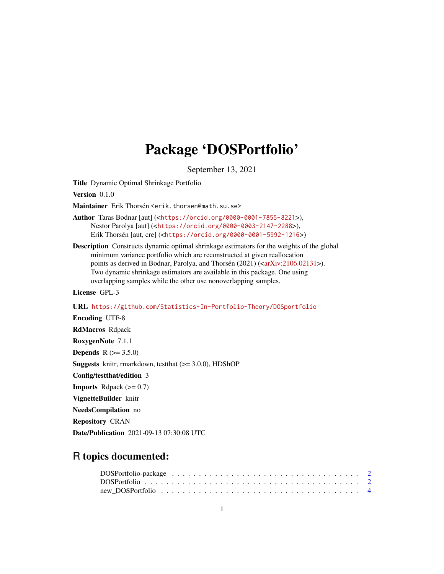## Package 'DOSPortfolio'

September 13, 2021

Title Dynamic Optimal Shrinkage Portfolio

Version 0.1.0

Maintainer Erik Thorsén <erik.thorsen@math.su.se>

Author Taras Bodnar [aut] (<<https://orcid.org/0000-0001-7855-8221>>), Nestor Parolya [aut] (<<https://orcid.org/0000-0003-2147-2288>>), Erik Thorsén [aut, cre] (<<https://orcid.org/0000-0001-5992-1216>>)

Description Constructs dynamic optimal shrinkage estimators for the weights of the global minimum variance portfolio which are reconstructed at given reallocation points as derived in Bodnar, Parolya, and Thorsén (2021) ([<arXiv:2106.02131>](https://arxiv.org/abs/2106.02131)). Two dynamic shrinkage estimators are available in this package. One using overlapping samples while the other use nonoverlapping samples.

License GPL-3

URL <https://github.com/Statistics-In-Portfolio-Theory/DOSportfolio>

Encoding UTF-8 RdMacros Rdpack RoxygenNote 7.1.1 **Depends** R  $(>= 3.5.0)$ **Suggests** knitr, rmarkdown, test that  $(>= 3.0.0)$ , HDShOP Config/testthat/edition 3 **Imports** Rdpack  $(>= 0.7)$ VignetteBuilder knitr NeedsCompilation no Repository CRAN

#### Date/Publication 2021-09-13 07:30:08 UTC

### R topics documented: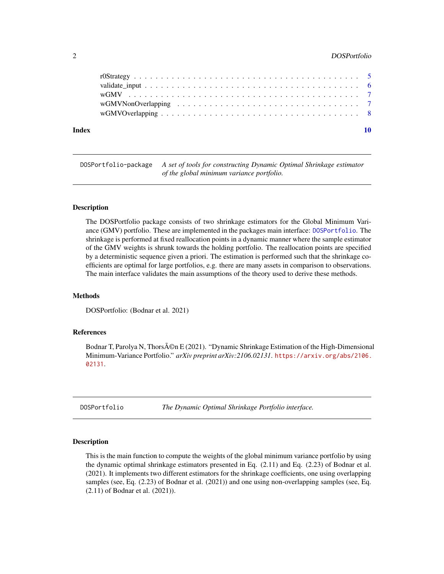#### <span id="page-1-0"></span>2 DOSPortfolio

| Index |  |  |  |  |  |  |  |  |  |  |  |  |  |  |  |
|-------|--|--|--|--|--|--|--|--|--|--|--|--|--|--|--|

DOSPortfolio-package *A set of tools for constructing Dynamic Optimal Shrinkage estimator of the global minimum variance portfolio.*

#### **Description**

The DOSPortfolio package consists of two shrinkage estimators for the Global Minimum Variance (GMV) portfolio. These are implemented in the packages main interface: [DOSPortfolio](#page-1-1). The shrinkage is performed at fixed reallocation points in a dynamic manner where the sample estimator of the GMV weights is shrunk towards the holding portfolio. The reallocation points are specified by a deterministic sequence given a priori. The estimation is performed such that the shrinkage coefficients are optimal for large portfolios, e.g. there are many assets in comparison to observations. The main interface validates the main assumptions of the theory used to derive these methods.

#### Methods

DOSPortfolio: (Bodnar et al. 2021)

#### References

Bodnar T, Parolya N, Thors $\tilde{A}$ ©n E (2021). "Dynamic Shrinkage Estimation of the High-Dimensional Minimum-Variance Portfolio." *arXiv preprint arXiv:2106.02131*. [https://arxiv.org/abs/2106.](https://arxiv.org/abs/2106.02131) [02131](https://arxiv.org/abs/2106.02131).

<span id="page-1-1"></span>DOSPortfolio *The Dynamic Optimal Shrinkage Portfolio interface.*

#### Description

This is the main function to compute the weights of the global minimum variance portfolio by using the dynamic optimal shrinkage estimators presented in Eq. (2.11) and Eq. (2.23) of Bodnar et al. (2021). It implements two different estimators for the shrinkage coefficients, one using overlapping samples (see, Eq. (2.23) of Bodnar et al. (2021)) and one using non-overlapping samples (see, Eq. (2.11) of Bodnar et al. (2021)).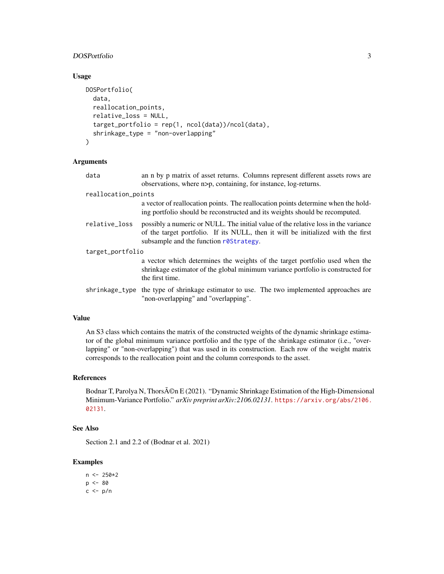#### <span id="page-2-0"></span>DOSPortfolio 3

#### Usage

```
DOSPortfolio(
  data,
  reallocation_points,
  relative_loss = NULL,
  target_portfolio = rep(1, ncol(data))/ncol(data),
  shrinkage_type = "non-overlapping"
)
```
#### Arguments

| data                | an n by p matrix of asset returns. Columns represent different assets rows are<br>observations, where n>p, containing, for instance, log-returns.                                                                |
|---------------------|------------------------------------------------------------------------------------------------------------------------------------------------------------------------------------------------------------------|
| reallocation_points |                                                                                                                                                                                                                  |
|                     | a vector of reallocation points. The reallocation points determine when the hold-<br>ing portfolio should be reconstructed and its weights should be recomputed.                                                 |
| relative_loss       | possibly a numeric or NULL. The initial value of the relative loss in the variance<br>of the target portfolio. If its NULL, then it will be initialized with the first<br>subsample and the function rostrategy. |
| target_portfolio    |                                                                                                                                                                                                                  |
|                     | a vector which determines the weights of the target portfolio used when the<br>shrinkage estimator of the global minimum variance portfolio is constructed for<br>the first time.                                |
|                     | shrinkage_type the type of shrinkage estimator to use. The two implemented approaches are<br>"non-overlapping" and "overlapping".                                                                                |

#### Value

An S3 class which contains the matrix of the constructed weights of the dynamic shrinkage estimator of the global minimum variance portfolio and the type of the shrinkage estimator (i.e., "overlapping" or "non-overlapping") that was used in its construction. Each row of the weight matrix corresponds to the reallocation point and the column corresponds to the asset.

#### References

Bodnar T, Parolya N, Thors $\tilde{A}$ ©n E (2021). "Dynamic Shrinkage Estimation of the High-Dimensional Minimum-Variance Portfolio." *arXiv preprint arXiv:2106.02131*. [https://arxiv.org/abs/2106.](https://arxiv.org/abs/2106.02131) [02131](https://arxiv.org/abs/2106.02131).

#### See Also

Section 2.1 and 2.2 of (Bodnar et al. 2021)

#### Examples

 $n < -250*2$  $p \le -80$  $c$  <-  $p/n$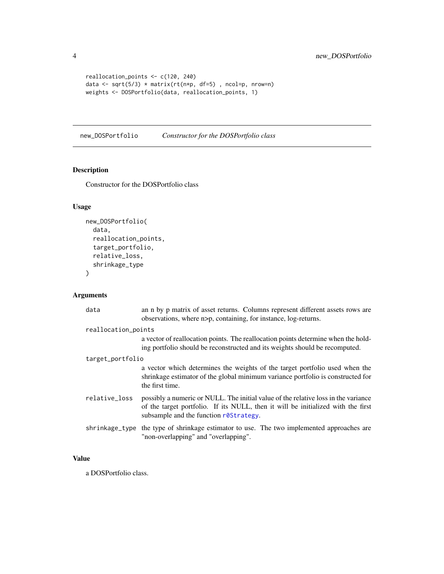```
reallocation_points <- c(120, 240)
data <- sqrt(5/3) * matrix(rt(n*p, df=5) , ncol=p, nrow=n)
weights <- DOSPortfolio(data, reallocation_points, 1)
```
new\_DOSPortfolio *Constructor for the DOSPortfolio class*

#### Description

Constructor for the DOSPortfolio class

#### Usage

```
new_DOSPortfolio(
  data,
  reallocation_points,
  target_portfolio,
 relative_loss,
 shrinkage_type
)
```
#### Arguments

| data                | an n by p matrix of asset returns. Columns represent different assets rows are<br>observations, where n>p, containing, for instance, log-returns.                                                                |  |  |  |  |  |
|---------------------|------------------------------------------------------------------------------------------------------------------------------------------------------------------------------------------------------------------|--|--|--|--|--|
| reallocation_points |                                                                                                                                                                                                                  |  |  |  |  |  |
|                     | a vector of reallocation points. The reallocation points determine when the hold-<br>ing portfolio should be reconstructed and its weights should be recomputed.                                                 |  |  |  |  |  |
| target_portfolio    |                                                                                                                                                                                                                  |  |  |  |  |  |
|                     | a vector which determines the weights of the target portfolio used when the<br>shrinkage estimator of the global minimum variance portfolio is constructed for<br>the first time.                                |  |  |  |  |  |
| relative_loss       | possibly a numeric or NULL. The initial value of the relative loss in the variance<br>of the target portfolio. If its NULL, then it will be initialized with the first<br>subsample and the function rostrategy. |  |  |  |  |  |
| shrinkage_type      | the type of shrinkage estimator to use. The two implemented approaches are<br>"non-overlapping" and "overlapping".                                                                                               |  |  |  |  |  |

#### Value

a DOSPortfolio class.

<span id="page-3-0"></span>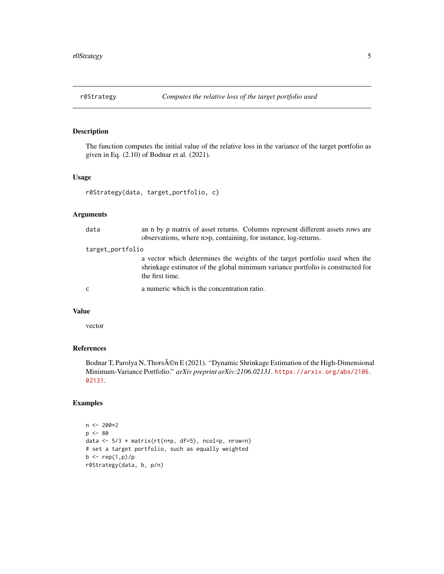<span id="page-4-1"></span><span id="page-4-0"></span>

#### Description

The function computes the initial value of the relative loss in the variance of the target portfolio as given in Eq. (2.10) of Bodnar et al. (2021).

#### Usage

```
r0Strategy(data, target_portfolio, c)
```
#### Arguments

| data             | an n by p matrix of asset returns. Columns represent different assets rows are<br>observations, where n>p, containing, for instance, log-returns.                                 |  |  |  |  |  |  |  |
|------------------|-----------------------------------------------------------------------------------------------------------------------------------------------------------------------------------|--|--|--|--|--|--|--|
| target_portfolio |                                                                                                                                                                                   |  |  |  |  |  |  |  |
|                  | a vector which determines the weights of the target portfolio used when the<br>shrinkage estimator of the global minimum variance portfolio is constructed for<br>the first time. |  |  |  |  |  |  |  |
| <sub>c</sub>     | a numeric which is the concentration ratio.                                                                                                                                       |  |  |  |  |  |  |  |

#### Value

vector

#### References

Bodnar T, Parolya N, Thors $\tilde{A}$ ©n E (2021). "Dynamic Shrinkage Estimation of the High-Dimensional Minimum-Variance Portfolio." *arXiv preprint arXiv:2106.02131*. [https://arxiv.org/abs/2106.](https://arxiv.org/abs/2106.02131) [02131](https://arxiv.org/abs/2106.02131).

#### Examples

```
n < -200*2p \le -80data <- 5/3 * matrix(rt(n*p, df=5), ncol=p, nrow=n)
# set a target portfolio, such as equally weighted
b \leq - rep(1,p)/pr0Strategy(data, b, p/n)
```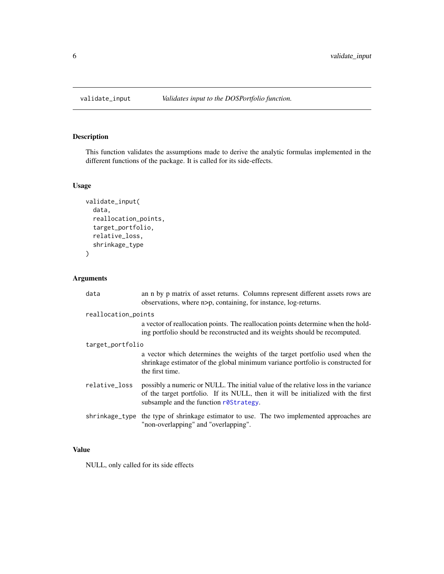<span id="page-5-0"></span>

#### Description

This function validates the assumptions made to derive the analytic formulas implemented in the different functions of the package. It is called for its side-effects.

#### Usage

```
validate_input(
  data,
  reallocation_points,
  target_portfolio,
  relative_loss,
  shrinkage_type
)
```
#### Arguments

| data                | an n by p matrix of asset returns. Columns represent different assets rows are<br>observations, where n>p, containing, for instance, log-returns.                                                                        |  |  |  |  |  |  |  |
|---------------------|--------------------------------------------------------------------------------------------------------------------------------------------------------------------------------------------------------------------------|--|--|--|--|--|--|--|
| reallocation_points |                                                                                                                                                                                                                          |  |  |  |  |  |  |  |
|                     | a vector of reallocation points. The reallocation points determine when the hold-<br>ing portfolio should be reconstructed and its weights should be recomputed.                                                         |  |  |  |  |  |  |  |
| target_portfolio    |                                                                                                                                                                                                                          |  |  |  |  |  |  |  |
|                     | a vector which determines the weights of the target portfolio used when the<br>shrinkage estimator of the global minimum variance portfolio is constructed for<br>the first time.                                        |  |  |  |  |  |  |  |
| relative_loss       | possibly a numeric or NULL. The initial value of the relative loss in the variance<br>of the target portfolio. If its NULL, then it will be initialized with the first<br>subsample and the function $r\theta$ Strategy. |  |  |  |  |  |  |  |
|                     | shrinkage_type the type of shrinkage estimator to use. The two implemented approaches are<br>"non-overlapping" and "overlapping".                                                                                        |  |  |  |  |  |  |  |

#### Value

NULL, only called for its side effects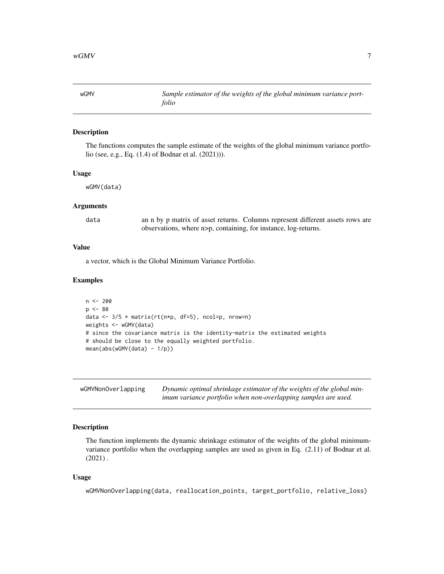<span id="page-6-0"></span>wGMV *Sample estimator of the weights of the global minimum variance portfolio*

#### Description

The functions computes the sample estimate of the weights of the global minimum variance portfolio (see, e.g., Eq. (1.4) of Bodnar et al. (2021))).

#### Usage

wGMV(data)

#### Arguments

data an n by p matrix of asset returns. Columns represent different assets rows are observations, where n>p, containing, for instance, log-returns.

#### Value

a vector, which is the Global Minimum Variance Portfolio.

#### Examples

```
n < - 200p \le -80data \leq 3/5 \star matrix(rt(n*p, df=5), ncol=p, nrow=n)
weights <- wGMV(data)
# since the covariance matrix is the identity-matrix the estimated weights
# should be close to the equally weighted portfolio.
mean(abs(wGMV(data) - 1/p))
```
<span id="page-6-1"></span>

| wGMVNonOverlapping | Dynamic optimal shrinkage estimator of the weights of the global min- |
|--------------------|-----------------------------------------------------------------------|
|                    | imum variance portfolio when non-overlapping samples are used.        |

#### Description

The function implements the dynamic shrinkage estimator of the weights of the global minimumvariance portfolio when the overlapping samples are used as given in Eq. (2.11) of Bodnar et al.  $(2021)$ .

#### Usage

wGMVNonOverlapping(data, reallocation\_points, target\_portfolio, relative\_loss)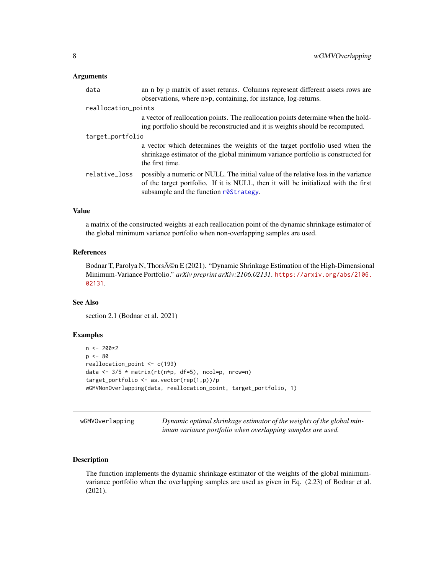#### <span id="page-7-0"></span>Arguments

| data                | an n by p matrix of asset returns. Columns represent different assets rows are<br>observations, where n>p, containing, for instance, log-returns.                                                                  |  |  |  |  |  |  |
|---------------------|--------------------------------------------------------------------------------------------------------------------------------------------------------------------------------------------------------------------|--|--|--|--|--|--|
| reallocation_points |                                                                                                                                                                                                                    |  |  |  |  |  |  |
|                     | a vector of reallocation points. The reallocation points determine when the hold-<br>ing portfolio should be reconstructed and it is weights should be recomputed.                                                 |  |  |  |  |  |  |
| target_portfolio    |                                                                                                                                                                                                                    |  |  |  |  |  |  |
|                     | a vector which determines the weights of the target portfolio used when the<br>shrinkage estimator of the global minimum variance portfolio is constructed for<br>the first time.                                  |  |  |  |  |  |  |
| relative_loss       | possibly a numeric or NULL. The initial value of the relative loss in the variance<br>of the target portfolio. If it is NULL, then it will be initialized with the first<br>subsample and the function r0Strategy. |  |  |  |  |  |  |
|                     |                                                                                                                                                                                                                    |  |  |  |  |  |  |

#### Value

a matrix of the constructed weights at each reallocation point of the dynamic shrinkage estimator of the global minimum variance portfolio when non-overlapping samples are used.

#### References

Bodnar T, Parolya N, Thors $\tilde{A}$ ©n E (2021). "Dynamic Shrinkage Estimation of the High-Dimensional Minimum-Variance Portfolio." *arXiv preprint arXiv:2106.02131*. [https://arxiv.org/abs/2106.](https://arxiv.org/abs/2106.02131) [02131](https://arxiv.org/abs/2106.02131).

#### See Also

section 2.1 (Bodnar et al. 2021)

#### Examples

```
n < -200*2p \le -80reallocation_point <- c(199)
data <- 3/5 * matrix(rt(n*p, df=5), ncol=p, nrow=n)
target_portfolio <- as.vector(rep(1,p))/p
wGMVNonOverlapping(data, reallocation_point, target_portfolio, 1)
```

| wGMVOverlapping | Dynamic optimal shrinkage estimator of the weights of the global min- |
|-----------------|-----------------------------------------------------------------------|
|                 | imum variance portfolio when overlapping samples are used.            |

#### Description

The function implements the dynamic shrinkage estimator of the weights of the global minimumvariance portfolio when the overlapping samples are used as given in Eq. (2.23) of Bodnar et al. (2021).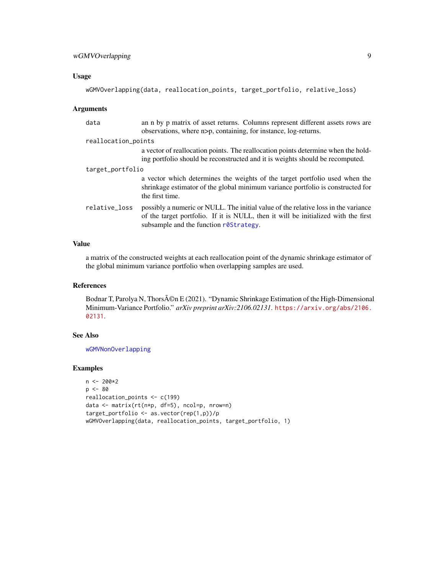#### <span id="page-8-0"></span>Usage

```
wGMVOverlapping(data, reallocation_points, target_portfolio, relative_loss)
```
#### Arguments

| data                | an n by p matrix of asset returns. Columns represent different assets rows are<br>observations, where n>p, containing, for instance, log-returns.                                                                  |  |  |  |  |  |
|---------------------|--------------------------------------------------------------------------------------------------------------------------------------------------------------------------------------------------------------------|--|--|--|--|--|
| reallocation_points |                                                                                                                                                                                                                    |  |  |  |  |  |
|                     | a vector of reallocation points. The reallocation points determine when the hold-<br>ing portfolio should be reconstructed and it is weights should be recomputed.                                                 |  |  |  |  |  |
| target_portfolio    |                                                                                                                                                                                                                    |  |  |  |  |  |
|                     | a vector which determines the weights of the target portfolio used when the<br>shrinkage estimator of the global minimum variance portfolio is constructed for<br>the first time.                                  |  |  |  |  |  |
| relative_loss       | possibly a numeric or NULL. The initial value of the relative loss in the variance<br>of the target portfolio. If it is NULL, then it will be initialized with the first<br>subsample and the function r0Strategy. |  |  |  |  |  |

#### Value

a matrix of the constructed weights at each reallocation point of the dynamic shrinkage estimator of the global minimum variance portfolio when overlapping samples are used.

#### References

Bodnar T, Parolya N, Thors $\tilde{A}$ ©n E (2021). "Dynamic Shrinkage Estimation of the High-Dimensional Minimum-Variance Portfolio." *arXiv preprint arXiv:2106.02131*. [https://arxiv.org/abs/2106.](https://arxiv.org/abs/2106.02131) [02131](https://arxiv.org/abs/2106.02131).

#### See Also

[wGMVNonOverlapping](#page-6-1)

#### Examples

```
n < -200*2p \le -80reallocation_points <- c(199)
data <- matrix(rt(n*p, df=5), ncol=p, nrow=n)
target_portfolio <- as.vector(rep(1,p))/p
wGMVOverlapping(data, reallocation_points, target_portfolio, 1)
```